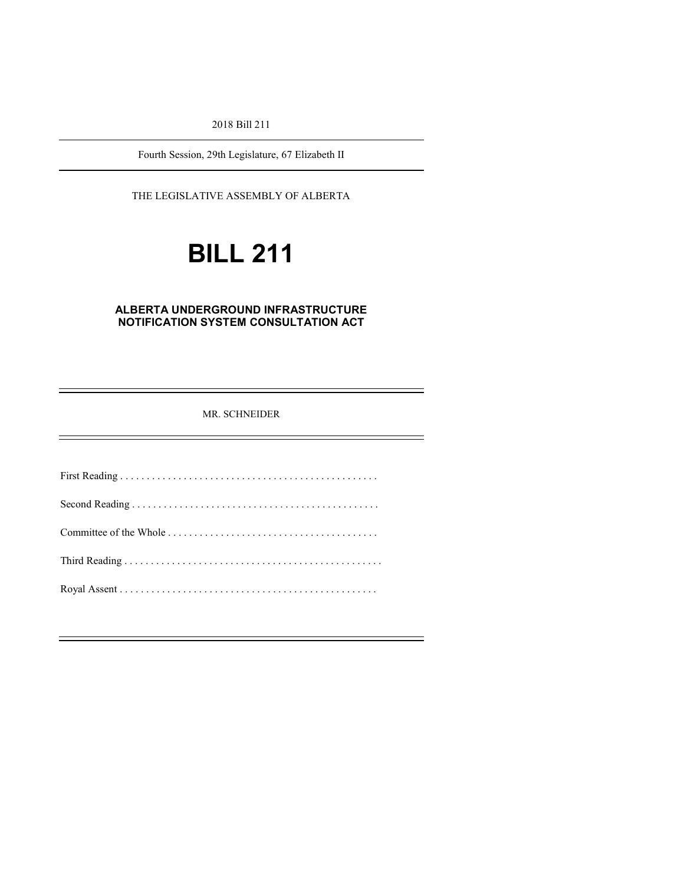2018 Bill 211

Fourth Session, 29th Legislature, 67 Elizabeth II

THE LEGISLATIVE ASSEMBLY OF ALBERTA

# **BILL 211**

#### **ALBERTA UNDERGROUND INFRASTRUCTURE NOTIFICATION SYSTEM CONSULTATION ACT**

#### MR. SCHNEIDER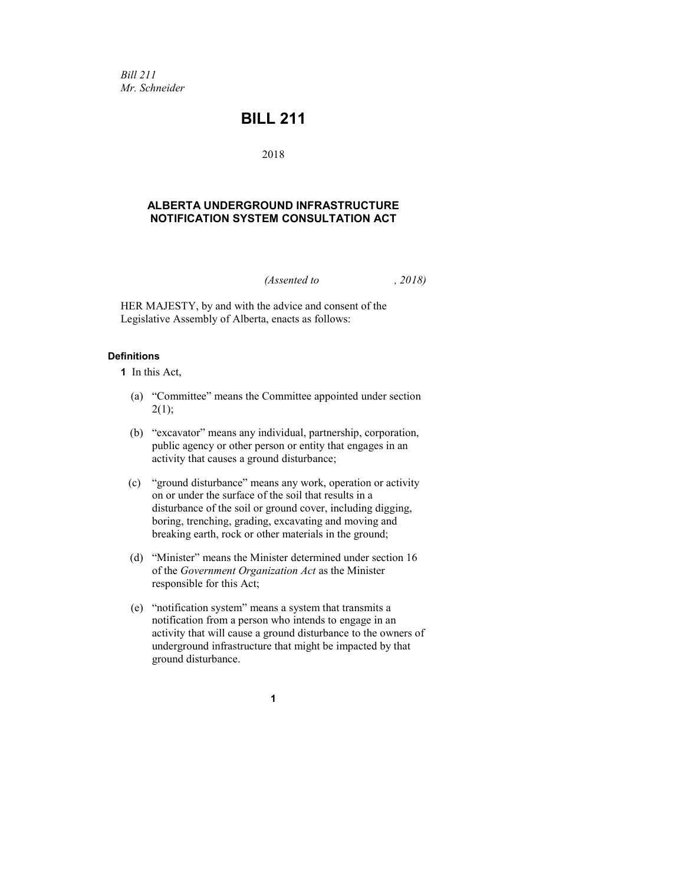*Bill 211 Mr. Schneider*

### **BILL 211**

2018

#### **ALBERTA UNDERGROUND INFRASTRUCTURE NOTIFICATION SYSTEM CONSULTATION ACT**

*(Assented to , 2018)*

HER MAJESTY, by and with the advice and consent of the Legislative Assembly of Alberta, enacts as follows:

#### **Definitions**

**1** In this Act,

- (a) "Committee" means the Committee appointed under section  $2(1);$
- (b) "excavator" means any individual, partnership, corporation, public agency or other person or entity that engages in an activity that causes a ground disturbance;
- (c) "ground disturbance" means any work, operation or activity on or under the surface of the soil that results in a disturbance of the soil or ground cover, including digging, boring, trenching, grading, excavating and moving and breaking earth, rock or other materials in the ground;
- (d) "Minister" means the Minister determined under section 16 of the *Government Organization Act* as the Minister responsible for this Act;
- (e) "notification system" means a system that transmits a notification from a person who intends to engage in an activity that will cause a ground disturbance to the owners of underground infrastructure that might be impacted by that ground disturbance.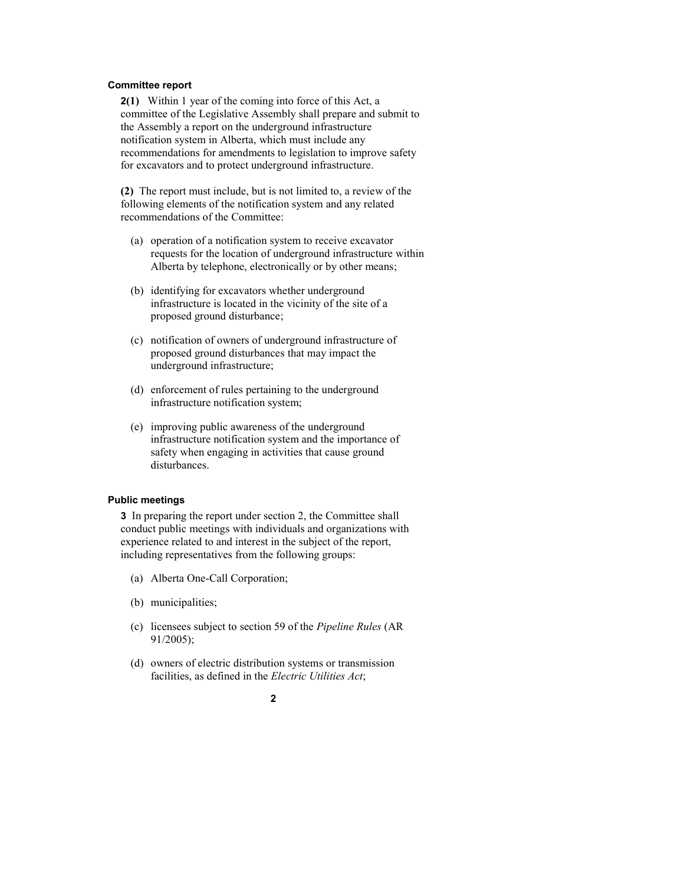#### **Committee report**

**2(1)** Within 1 year of the coming into force of this Act, a committee of the Legislative Assembly shall prepare and submit to the Assembly a report on the underground infrastructure notification system in Alberta, which must include any recommendations for amendments to legislation to improve safety for excavators and to protect underground infrastructure.

**(2)** The report must include, but is not limited to, a review of the following elements of the notification system and any related recommendations of the Committee:

- (a) operation of a notification system to receive excavator requests for the location of underground infrastructure within Alberta by telephone, electronically or by other means;
- (b) identifying for excavators whether underground infrastructure is located in the vicinity of the site of a proposed ground disturbance;
- (c) notification of owners of underground infrastructure of proposed ground disturbances that may impact the underground infrastructure;
- (d) enforcement of rules pertaining to the underground infrastructure notification system;
- (e) improving public awareness of the underground infrastructure notification system and the importance of safety when engaging in activities that cause ground disturbances.

#### **Public meetings**

**3** In preparing the report under section 2, the Committee shall conduct public meetings with individuals and organizations with experience related to and interest in the subject of the report, including representatives from the following groups:

- (a) Alberta One-Call Corporation;
- (b) municipalities;
- (c) licensees subject to section 59 of the *Pipeline Rules* (AR 91/2005);
- (d) owners of electric distribution systems or transmission facilities, as defined in the *Electric Utilities Act*;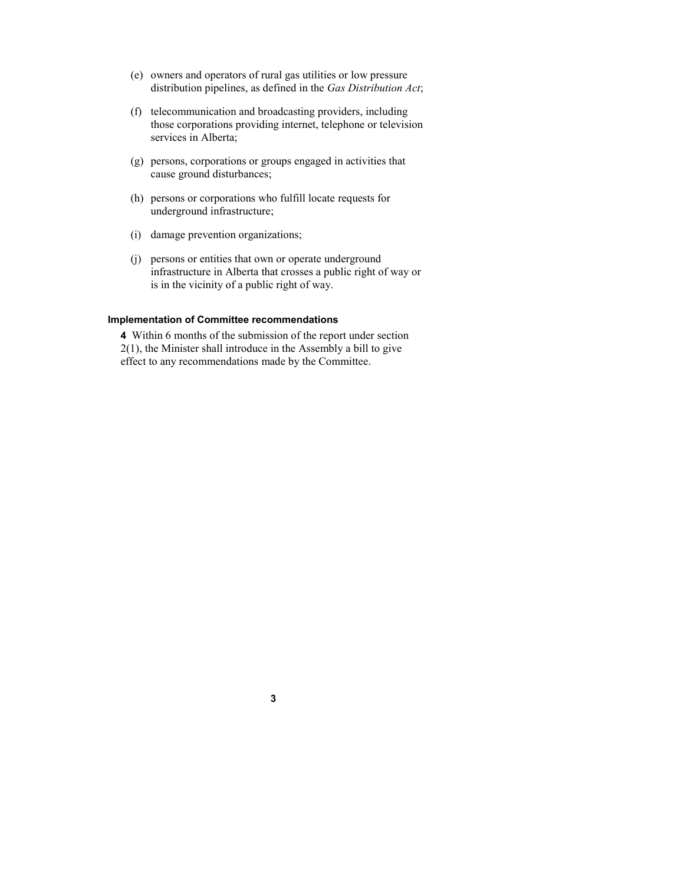- (e) owners and operators of rural gas utilities or low pressure distribution pipelines, as defined in the *Gas Distribution Act*;
- (f) telecommunication and broadcasting providers, including those corporations providing internet, telephone or television services in Alberta;
- (g) persons, corporations or groups engaged in activities that cause ground disturbances;
- (h) persons or corporations who fulfill locate requests for underground infrastructure;
- (i) damage prevention organizations;
- (j) persons or entities that own or operate underground infrastructure in Alberta that crosses a public right of way or is in the vicinity of a public right of way.

#### **Implementation of Committee recommendations**

**4** Within 6 months of the submission of the report under section 2(1), the Minister shall introduce in the Assembly a bill to give effect to any recommendations made by the Committee.